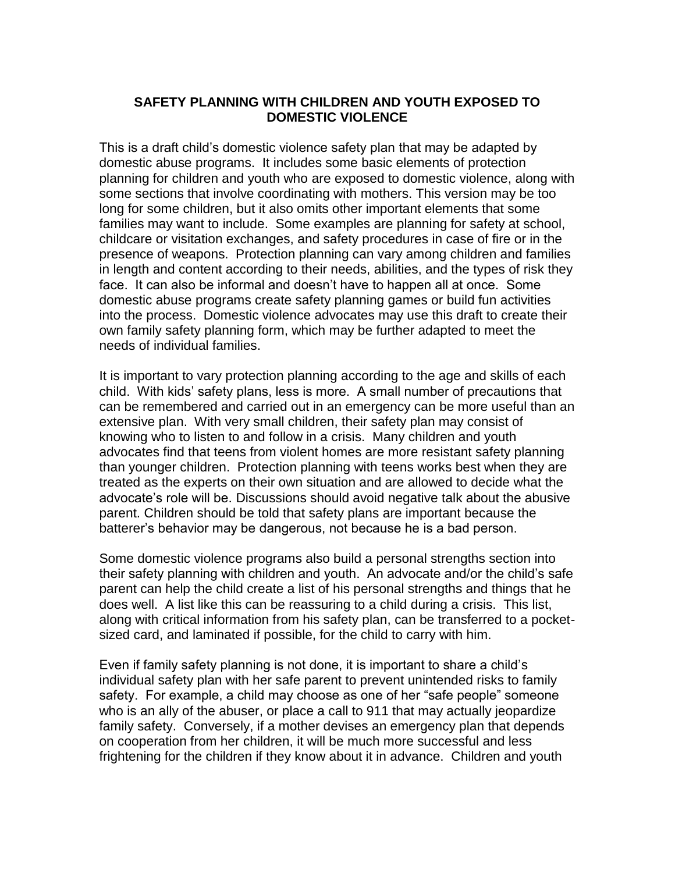## **SAFETY PLANNING WITH CHILDREN AND YOUTH EXPOSED TO DOMESTIC VIOLENCE**

This is a draft child's domestic violence safety plan that may be adapted by domestic abuse programs. It includes some basic elements of protection planning for children and youth who are exposed to domestic violence, along with some sections that involve coordinating with mothers. This version may be too long for some children, but it also omits other important elements that some families may want to include. Some examples are planning for safety at school, childcare or visitation exchanges, and safety procedures in case of fire or in the presence of weapons. Protection planning can vary among children and families in length and content according to their needs, abilities, and the types of risk they face. It can also be informal and doesn't have to happen all at once. Some domestic abuse programs create safety planning games or build fun activities into the process. Domestic violence advocates may use this draft to create their own family safety planning form, which may be further adapted to meet the needs of individual families.

It is important to vary protection planning according to the age and skills of each child. With kids' safety plans, less is more. A small number of precautions that can be remembered and carried out in an emergency can be more useful than an extensive plan. With very small children, their safety plan may consist of knowing who to listen to and follow in a crisis. Many children and youth advocates find that teens from violent homes are more resistant safety planning than younger children. Protection planning with teens works best when they are treated as the experts on their own situation and are allowed to decide what the advocate's role will be. Discussions should avoid negative talk about the abusive parent. Children should be told that safety plans are important because the batterer's behavior may be dangerous, not because he is a bad person.

Some domestic violence programs also build a personal strengths section into their safety planning with children and youth. An advocate and/or the child's safe parent can help the child create a list of his personal strengths and things that he does well. A list like this can be reassuring to a child during a crisis. This list, along with critical information from his safety plan, can be transferred to a pocketsized card, and laminated if possible, for the child to carry with him.

Even if family safety planning is not done, it is important to share a child's individual safety plan with her safe parent to prevent unintended risks to family safety. For example, a child may choose as one of her "safe people" someone who is an ally of the abuser, or place a call to 911 that may actually jeopardize family safety. Conversely, if a mother devises an emergency plan that depends on cooperation from her children, it will be much more successful and less frightening for the children if they know about it in advance. Children and youth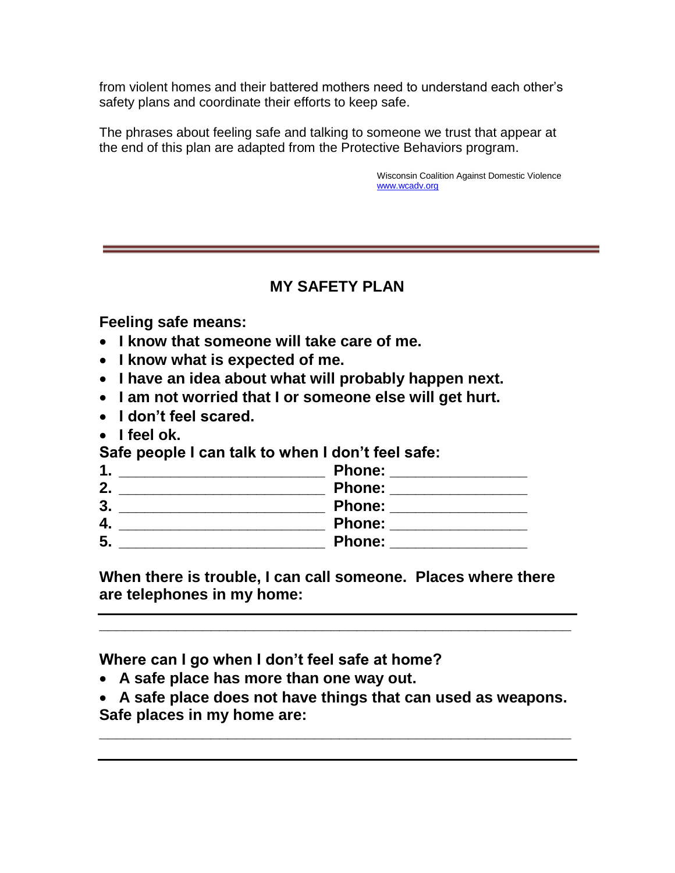from violent homes and their battered mothers need to understand each other's safety plans and coordinate their efforts to keep safe.

The phrases about feeling safe and talking to someone we trust that appear at the end of this plan are adapted from the Protective Behaviors program.

> Wisconsin Coalition Against Domestic Violence [www.wcadv.org](http://www.wcadv.org/)

## **MY SAFETY PLAN**

**Feeling safe means:**

- **I know that someone will take care of me.**
- **I know what is expected of me.**
- **I have an idea about what will probably happen next.**
- **I am not worried that I or someone else will get hurt.**
- **I don't feel scared.**
- I feel ok.

**Safe people I can talk to when I don't feel safe:**

|        | <b>Phone:</b> |
|--------|---------------|
| າ      | <b>Phone:</b> |
| າ<br>J | <b>Phone:</b> |
| 4.     | <b>Phone:</b> |
| 5      | <b>Phone:</b> |

**When there is trouble, I can call someone. Places where there are telephones in my home:**

**\_\_\_\_\_\_\_\_\_\_\_\_\_\_\_\_\_\_\_\_\_\_\_\_\_\_\_\_\_\_\_\_\_\_\_\_\_\_\_\_\_\_\_\_\_\_\_\_\_\_\_\_\_\_\_**

**Where can I go when I don't feel safe at home?**

- **A safe place has more than one way out.**
- **A safe place does not have things that can used as weapons. Safe places in my home are:**

**\_\_\_\_\_\_\_\_\_\_\_\_\_\_\_\_\_\_\_\_\_\_\_\_\_\_\_\_\_\_\_\_\_\_\_\_\_\_\_\_\_\_\_\_\_\_\_\_\_\_\_\_\_\_\_**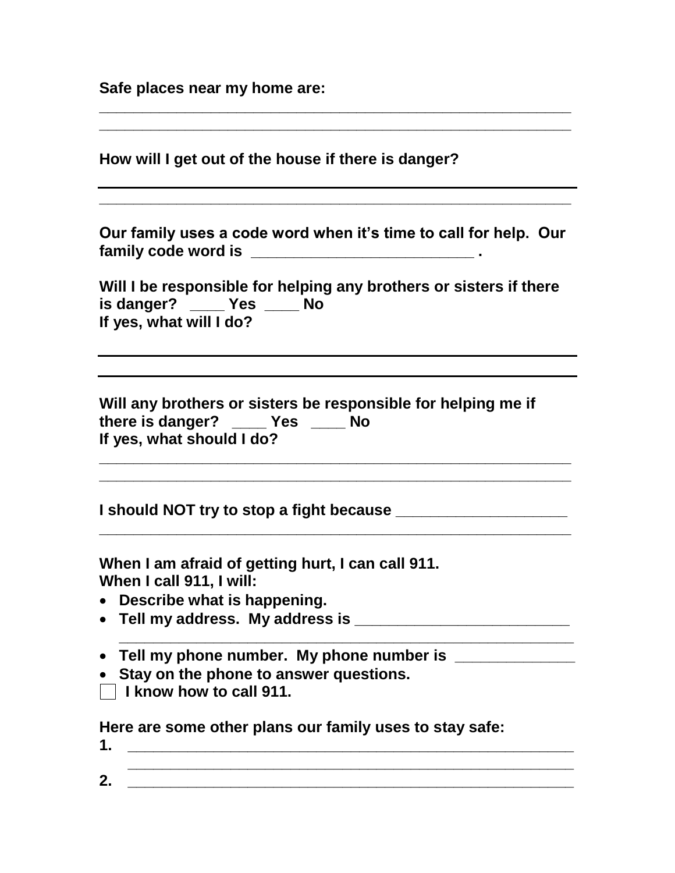**Safe places near my home are:** 

| How will I get out of the house if there is danger?                                                                               |
|-----------------------------------------------------------------------------------------------------------------------------------|
|                                                                                                                                   |
| Our family uses a code word when it's time to call for help. Our                                                                  |
| Will I be responsible for helping any brothers or sisters if there<br>is danger? ____ Yes ___ No<br>If yes, what will I do?       |
|                                                                                                                                   |
| Will any brothers or sisters be responsible for helping me if<br>there is danger? _____ Yes _____ No<br>If yes, what should I do? |
|                                                                                                                                   |
| When I am afraid of getting hurt, I can call 911.<br>When I call 911, I will:                                                     |
| • Describe what is happening.                                                                                                     |
|                                                                                                                                   |
|                                                                                                                                   |
| Stay on the phone to answer questions.                                                                                            |
| $\vert$ I know how to call 911.                                                                                                   |
| Here are some other plans our family uses to stay safe:<br>1.                                                                     |
| 2.<br><u> 1989 - Johann John Stein, marwolaeth a breithinn a breithinn a breithinn a breithinn a breithinn a breithinn </u>       |
|                                                                                                                                   |

**\_\_\_\_\_\_\_\_\_\_\_\_\_\_\_\_\_\_\_\_\_\_\_\_\_\_\_\_\_\_\_\_\_\_\_\_\_\_\_\_\_\_\_\_\_\_\_\_\_\_\_\_\_\_\_**